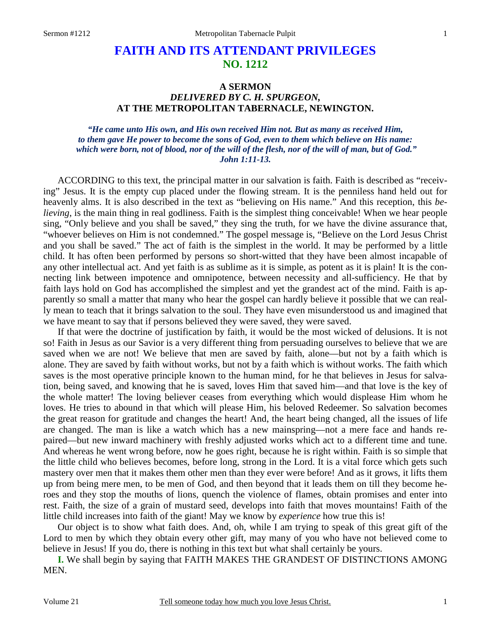# **FAITH AND ITS ATTENDANT PRIVILEGES NO. 1212**

## **A SERMON**  *DELIVERED BY C. H. SPURGEON,*  **AT THE METROPOLITAN TABERNACLE, NEWINGTON.**

*"He came unto His own, and His own received Him not. But as many as received Him, to them gave He power to become the sons of God, even to them which believe on His name: which were born, not of blood, nor of the will of the flesh, nor of the will of man, but of God." John 1:11-13.* 

ACCORDING to this text, the principal matter in our salvation is faith. Faith is described as "receiving" Jesus. It is the empty cup placed under the flowing stream. It is the penniless hand held out for heavenly alms. It is also described in the text as "believing on His name." And this reception, this *believing*, is the main thing in real godliness. Faith is the simplest thing conceivable! When we hear people sing, "Only believe and you shall be saved," they sing the truth, for we have the divine assurance that, "whoever believes on Him is not condemned." The gospel message is, "Believe on the Lord Jesus Christ and you shall be saved." The act of faith is the simplest in the world. It may be performed by a little child. It has often been performed by persons so short-witted that they have been almost incapable of any other intellectual act. And yet faith is as sublime as it is simple, as potent as it is plain! It is the connecting link between impotence and omnipotence, between necessity and all-sufficiency. He that by faith lays hold on God has accomplished the simplest and yet the grandest act of the mind. Faith is apparently so small a matter that many who hear the gospel can hardly believe it possible that we can really mean to teach that it brings salvation to the soul. They have even misunderstood us and imagined that we have meant to say that if persons believed they were saved, they were saved.

If that were the doctrine of justification by faith, it would be the most wicked of delusions. It is not so! Faith in Jesus as our Savior is a very different thing from persuading ourselves to believe that we are saved when we are not! We believe that men are saved by faith, alone—but not by a faith which is alone. They are saved by faith without works, but not by a faith which is without works. The faith which saves is the most operative principle known to the human mind, for he that believes in Jesus for salvation, being saved, and knowing that he is saved, loves Him that saved him—and that love is the key of the whole matter! The loving believer ceases from everything which would displease Him whom he loves. He tries to abound in that which will please Him, his beloved Redeemer. So salvation becomes the great reason for gratitude and changes the heart! And, the heart being changed, all the issues of life are changed. The man is like a watch which has a new mainspring—not a mere face and hands repaired—but new inward machinery with freshly adjusted works which act to a different time and tune. And whereas he went wrong before, now he goes right, because he is right within. Faith is so simple that the little child who believes becomes, before long, strong in the Lord. It is a vital force which gets such mastery over men that it makes them other men than they ever were before! And as it grows, it lifts them up from being mere men, to be men of God, and then beyond that it leads them on till they become heroes and they stop the mouths of lions, quench the violence of flames, obtain promises and enter into rest. Faith, the size of a grain of mustard seed, develops into faith that moves mountains! Faith of the little child increases into faith of the giant! May we know by *experience* how true this is!

Our object is to show what faith does. And, oh, while I am trying to speak of this great gift of the Lord to men by which they obtain every other gift, may many of you who have not believed come to believe in Jesus! If you do, there is nothing in this text but what shall certainly be yours.

**I.** We shall begin by saying that FAITH MAKES THE GRANDEST OF DISTINCTIONS AMONG MEN.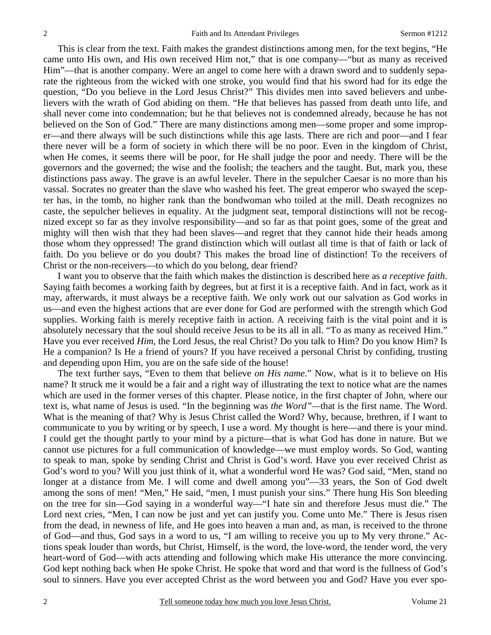This is clear from the text. Faith makes the grandest distinctions among men, for the text begins, "He came unto His own, and His own received Him not," that is one company—"but as many as received Him"—that is another company. Were an angel to come here with a drawn sword and to suddenly separate the righteous from the wicked with one stroke, you would find that his sword had for its edge the question, "Do you believe in the Lord Jesus Christ?" This divides men into saved believers and unbelievers with the wrath of God abiding on them. "He that believes has passed from death unto life, and shall never come into condemnation; but he that believes not is condemned already, because he has not believed on the Son of God." There are many distinctions among men—some proper and some improper—and there always will be such distinctions while this age lasts. There are rich and poor—and I fear there never will be a form of society in which there will be no poor. Even in the kingdom of Christ, when He comes, it seems there will be poor, for He shall judge the poor and needy. There will be the governors and the governed; the wise and the foolish; the teachers and the taught. But, mark you, these distinctions pass away. The grave is an awful leveler. There in the sepulcher Caesar is no more than his vassal. Socrates no greater than the slave who washed his feet. The great emperor who swayed the scepter has, in the tomb, no higher rank than the bondwoman who toiled at the mill. Death recognizes no caste, the sepulcher believes in equality. At the judgment seat, temporal distinctions will not be recognized except so far as they involve responsibility—and so far as that point goes, some of the great and mighty will then wish that they had been slaves—and regret that they cannot hide their heads among those whom they oppressed! The grand distinction which will outlast all time is that of faith or lack of faith. Do you believe or do you doubt? This makes the broad line of distinction! To the receivers of Christ or the non-receivers—to which do you belong, dear friend?

I want you to observe that the faith which makes the distinction is described here as *a receptive faith*. Saying faith becomes a working faith by degrees, but at first it is a receptive faith. And in fact, work as it may, afterwards, it must always be a receptive faith. We only work out our salvation as God works in us—and even the highest actions that are ever done for God are performed with the strength which God supplies. Working faith is merely receptive faith in action. A receiving faith is the vital point and it is absolutely necessary that the soul should receive Jesus to be its all in all. "To as many as received Him." Have you ever received *Him*, the Lord Jesus, the real Christ? Do you talk to Him? Do you know Him? Is He a companion? Is He a friend of yours? If you have received a personal Christ by confiding, trusting and depending upon Him, you are on the safe side of the house!

The text further says, "Even to them that believe *on His name*." Now, what is it to believe on His name? It struck me it would be a fair and a right way of illustrating the text to notice what are the names which are used in the former verses of this chapter. Please notice, in the first chapter of John, where our text is, what name of Jesus is used. "In the beginning was *the Word"—*that is the first name. The Word. What is the meaning of that? Why is Jesus Christ called the Word? Why, because, brethren, if I want to communicate to you by writing or by speech, I use a word. My thought is here—and there is your mind. I could get the thought partly to your mind by a picture*—*that is what God has done in nature. But we cannot use pictures for a full communication of knowledge—we must employ words. So God, wanting to speak to man, spoke by sending Christ and Christ is God's word. Have you ever received Christ as God's word to you? Will you just think of it, what a wonderful word He was? God said, "Men, stand no longer at a distance from Me. I will come and dwell among you"—33 years, the Son of God dwelt among the sons of men! "Men," He said, "men, I must punish your sins." There hung His Son bleeding on the tree for sin—God saying in a wonderful way—"I hate sin and therefore Jesus must die." The Lord next cries, "Men, I can now be just and yet can justify you. Come unto Me." There is Jesus risen from the dead, in newness of life, and He goes into heaven a man and, as man, is received to the throne of God—and thus, God says in a word to us, "I am willing to receive you up to My very throne." Actions speak louder than words, but Christ, Himself, is the word, the love-word, the tender word, the very heart-word of God—with acts attending and following which make His utterance the more convincing. God kept nothing back when He spoke Christ. He spoke that word and that word is the fullness of God's soul to sinners. Have you ever accepted Christ as the word between you and God? Have you ever spo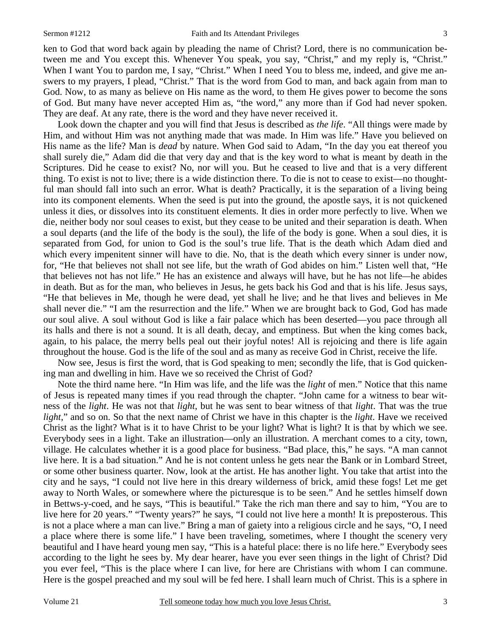ken to God that word back again by pleading the name of Christ? Lord, there is no communication between me and You except this. Whenever You speak, you say, "Christ," and my reply is, "Christ." When I want You to pardon me, I say, "Christ." When I need You to bless me, indeed, and give me answers to my prayers, I plead, "Christ." That is the word from God to man, and back again from man to God. Now, to as many as believe on His name as the word, to them He gives power to become the sons of God. But many have never accepted Him as, "the word," any more than if God had never spoken. They are deaf. At any rate, there is the word and they have never received it.

Look down the chapter and you will find that Jesus is described as *the life*. "All things were made by Him, and without Him was not anything made that was made. In Him was life." Have you believed on His name as the life? Man is *dead* by nature. When God said to Adam, "In the day you eat thereof you shall surely die," Adam did die that very day and that is the key word to what is meant by death in the Scriptures. Did he cease to exist? No, nor will you. But he ceased to live and that is a very different thing. To exist is not to live; there is a wide distinction there. To die is not to cease to exist—no thoughtful man should fall into such an error. What is death? Practically, it is the separation of a living being into its component elements. When the seed is put into the ground, the apostle says, it is not quickened unless it dies, or dissolves into its constituent elements. It dies in order more perfectly to live. When we die, neither body nor soul ceases to exist, but they cease to be united and their separation is death. When a soul departs (and the life of the body is the soul), the life of the body is gone. When a soul dies, it is separated from God, for union to God is the soul's true life. That is the death which Adam died and which every impenitent sinner will have to die. No, that is the death which every sinner is under now, for, "He that believes not shall not see life, but the wrath of God abides on him." Listen well that, "He that believes not has not life." He has an existence and always will have, but he has not life*—*he abides in death. But as for the man, who believes in Jesus, he gets back his God and that is his life. Jesus says, "He that believes in Me, though he were dead, yet shall he live; and he that lives and believes in Me shall never die." "I am the resurrection and the life." When we are brought back to God, God has made our soul alive. A soul without God is like a fair palace which has been deserted—you pace through all its halls and there is not a sound. It is all death, decay, and emptiness. But when the king comes back, again, to his palace, the merry bells peal out their joyful notes! All is rejoicing and there is life again throughout the house. God is the life of the soul and as many as receive God in Christ, receive the life.

Now see, Jesus is first the word, that is God speaking to men; secondly the life, that is God quickening man and dwelling in him. Have we so received the Christ of God?

Note the third name here. "In Him was life, and the life was the *light* of men." Notice that this name of Jesus is repeated many times if you read through the chapter. "John came for a witness to bear witness of the *light*. He was not that *light*, but he was sent to bear witness of that *light*. That was the true *light*," and so on. So that the next name of Christ we have in this chapter is the *light*. Have we received Christ as the light? What is it to have Christ to be your light? What is light? It is that by which we see. Everybody sees in a light. Take an illustration—only an illustration. A merchant comes to a city, town, village. He calculates whether it is a good place for business. "Bad place, this," he says. "A man cannot live here. It is a bad situation." And he is not content unless he gets near the Bank or in Lombard Street, or some other business quarter. Now, look at the artist. He has another light. You take that artist into the city and he says, "I could not live here in this dreary wilderness of brick, amid these fogs! Let me get away to North Wales, or somewhere where the picturesque is to be seen." And he settles himself down in Bettws-y-coed, and he says, "This is beautiful." Take the rich man there and say to him, "You are to live here for 20 years." "Twenty years?" he says, "I could not live here a month! It is preposterous. This is not a place where a man can live." Bring a man of gaiety into a religious circle and he says, "O, I need a place where there is some life." I have been traveling, sometimes, where I thought the scenery very beautiful and I have heard young men say, "This is a hateful place: there is no life here." Everybody sees according to the light he sees by. My dear hearer, have you ever seen things in the light of Christ? Did you ever feel, "This is the place where I can live, for here are Christians with whom I can commune. Here is the gospel preached and my soul will be fed here. I shall learn much of Christ. This is a sphere in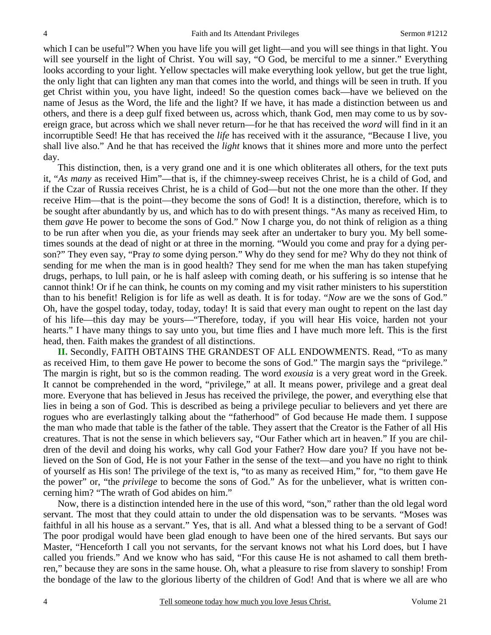which I can be useful"? When you have life you will get light—and you will see things in that light. You will see yourself in the light of Christ. You will say, "O God, be merciful to me a sinner." Everything looks according to your light. Yellow spectacles will make everything look yellow, but get the true light, the only light that can lighten any man that comes into the world, and things will be seen in truth. If you get Christ within you, you have light, indeed! So the question comes back—have we believed on the name of Jesus as the Word, the life and the light? If we have, it has made a distinction between us and others, and there is a deep gulf fixed between us, across which, thank God, men may come to us by sovereign grace, but across which we shall never return—for he that has received the *word* will find in it an incorruptible Seed! He that has received the *life* has received with it the assurance, "Because I live, you shall live also." And he that has received the *light* knows that it shines more and more unto the perfect day.

This distinction, then, is a very grand one and it is one which obliterates all others, for the text puts it, "*As many* as received Him"—that is, if the chimney-sweep receives Christ, he is a child of God, and if the Czar of Russia receives Christ, he is a child of God—but not the one more than the other. If they receive Him—that is the point—they become the sons of God! It is a distinction, therefore, which is to be sought after abundantly by us, and which has to do with present things. "As many as received Him, to them *gave* He power to become the sons of God." Now I charge you, do not think of religion as a thing to be run after when you die, as your friends may seek after an undertaker to bury you. My bell sometimes sounds at the dead of night or at three in the morning. "Would you come and pray for a dying person?" They even say, "Pray *to* some dying person." Why do they send for me? Why do they not think of sending for me when the man is in good health? They send for me when the man has taken stupefying drugs, perhaps, to lull pain, or he is half asleep with coming death, or his suffering is so intense that he cannot think! Or if he can think, he counts on my coming and my visit rather ministers to his superstition than to his benefit! Religion is for life as well as death. It is for today. "*Now* are we the sons of God." Oh, have the gospel today, today, today, today! It is said that every man ought to repent on the last day of his life—this day may be yours—"Therefore, today, if you will hear His voice, harden not your hearts." I have many things to say unto you, but time flies and I have much more left. This is the first head, then. Faith makes the grandest of all distinctions.

**II.** Secondly, FAITH OBTAINS THE GRANDEST OF ALL ENDOWMENTS. Read, "To as many as received Him, to them gave He power to become the sons of God." The margin says the "privilege." The margin is right, but so is the common reading. The word *exousia* is a very great word in the Greek. It cannot be comprehended in the word, "privilege," at all. It means power, privilege and a great deal more. Everyone that has believed in Jesus has received the privilege, the power, and everything else that lies in being a son of God. This is described as being a privilege peculiar to believers and yet there are rogues who are everlastingly talking about the "fatherhood" of God because He made them. I suppose the man who made that table is the father of the table. They assert that the Creator is the Father of all His creatures. That is not the sense in which believers say, "Our Father which art in heaven." If you are children of the devil and doing his works, why call God your Father? How dare you? If you have not believed on the Son of God, He is not your Father in the sense of the text—and you have no right to think of yourself as His son! The privilege of the text is, "to as many as received Him," for, "to them gave He the power" or, "the *privilege* to become the sons of God." As for the unbeliever, what is written concerning him? "The wrath of God abides on him."

Now, there is a distinction intended here in the use of this word, "son," rather than the old legal word servant. The most that they could attain to under the old dispensation was to be servants. "Moses was faithful in all his house as a servant." Yes, that is all. And what a blessed thing to be a servant of God! The poor prodigal would have been glad enough to have been one of the hired servants. But says our Master, "Henceforth I call you not servants, for the servant knows not what his Lord does, but I have called you friends." And we know who has said, "For this cause He is not ashamed to call them brethren," because they are sons in the same house. Oh, what a pleasure to rise from slavery to sonship! From the bondage of the law to the glorious liberty of the children of God! And that is where we all are who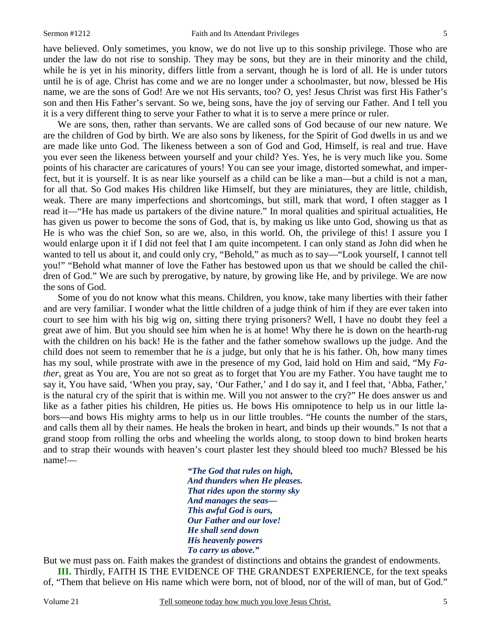have believed. Only sometimes, you know, we do not live up to this sonship privilege. Those who are under the law do not rise to sonship. They may be sons, but they are in their minority and the child, while he is yet in his minority, differs little from a servant, though he is lord of all. He is under tutors until he is of age. Christ has come and we are no longer under a schoolmaster, but now, blessed be His name, we are the sons of God! Are we not His servants, too? O, yes! Jesus Christ was first His Father's son and then His Father's servant. So we, being sons, have the joy of serving our Father. And I tell you it is a very different thing to serve your Father to what it is to serve a mere prince or ruler.

We are sons, then, rather than servants. We are called sons of God because of our new nature. We are the children of God by birth. We are also sons by likeness, for the Spirit of God dwells in us and we are made like unto God. The likeness between a son of God and God, Himself, is real and true. Have you ever seen the likeness between yourself and your child? Yes. Yes, he is very much like you. Some points of his character are caricatures of yours! You can see your image, distorted somewhat, and imperfect, but it is yourself. It is as near like yourself as a child can be like a man—but a child is not a man, for all that. So God makes His children like Himself, but they are miniatures, they are little, childish, weak. There are many imperfections and shortcomings, but still, mark that word, I often stagger as I read it—"He has made us partakers of the divine nature." In moral qualities and spiritual actualities, He has given us power to become the sons of God, that is, by making us like unto God, showing us that as He is who was the chief Son, so are we, also, in this world. Oh, the privilege of this! I assure you I would enlarge upon it if I did not feel that I am quite incompetent. I can only stand as John did when he wanted to tell us about it, and could only cry, "Behold," as much as to say—"Look yourself, I cannot tell you!" "Behold what manner of love the Father has bestowed upon us that we should be called the children of God." We are such by prerogative, by nature, by growing like He, and by privilege. We are now the sons of God.

Some of you do not know what this means. Children, you know, take many liberties with their father and are very familiar. I wonder what the little children of a judge think of him if they are ever taken into court to see him with his big wig on, sitting there trying prisoners? Well, I have no doubt they feel a great awe of him. But you should see him when he is at home! Why there he is down on the hearth-rug with the children on his back! He is the father and the father somehow swallows up the judge. And the child does not seem to remember that he *is* a judge, but only that he is his father. Oh, how many times has my soul, while prostrate with awe in the presence of my God, laid hold on Him and said, "My *Father*, great as You are, You are not so great as to forget that You are my Father. You have taught me to say it, You have said, 'When you pray, say, 'Our Father,' and I do say it, and I feel that, 'Abba, Father,' is the natural cry of the spirit that is within me. Will you not answer to the cry?" He does answer us and like as a father pities his children, He pities us. He bows His omnipotence to help us in our little labors—and bows His mighty arms to help us in our little troubles. "He counts the number of the stars, and calls them all by their names. He heals the broken in heart, and binds up their wounds." Is not that a grand stoop from rolling the orbs and wheeling the worlds along, to stoop down to bind broken hearts and to strap their wounds with heaven's court plaster lest they should bleed too much? Blessed be his name!—

> *"The God that rules on high, And thunders when He pleases. That rides upon the stormy sky And manages the seas— This awful God is ours, Our Father and our love! He shall send down His heavenly powers To carry us above."*

But we must pass on. Faith makes the grandest of distinctions and obtains the grandest of endowments. **III.** Thirdly, FAITH IS THE EVIDENCE OF THE GRANDEST EXPERIENCE, for the text speaks of, "Them that believe on His name which were born, not of blood, nor of the will of man, but of God."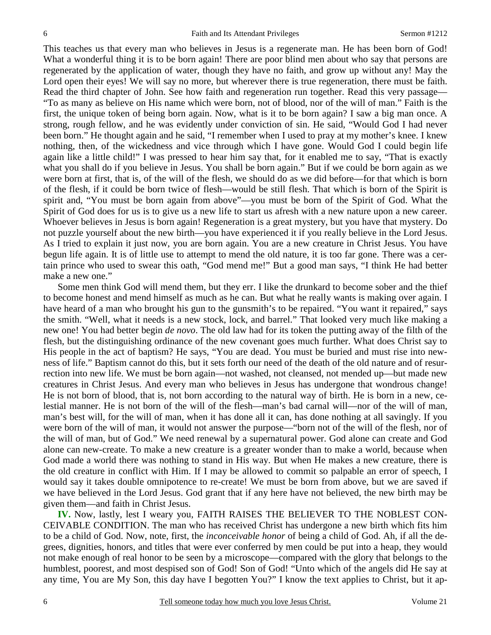This teaches us that every man who believes in Jesus is a regenerate man. He has been born of God! What a wonderful thing it is to be born again! There are poor blind men about who say that persons are regenerated by the application of water, though they have no faith, and grow up without any! May the Lord open their eyes! We will say no more, but wherever there is true regeneration, there must be faith. Read the third chapter of John. See how faith and regeneration run together. Read this very passage— "To as many as believe on His name which were born, not of blood, nor of the will of man." Faith is the first, the unique token of being born again. Now, what is it to be born again? I saw a big man once. A strong, rough fellow, and he was evidently under conviction of sin. He said, "Would God I had never been born." He thought again and he said, "I remember when I used to pray at my mother's knee. I knew nothing, then, of the wickedness and vice through which I have gone. Would God I could begin life again like a little child!" I was pressed to hear him say that, for it enabled me to say, "That is exactly what you shall do if you believe in Jesus. You shall be born again." But if we could be born again as we were born at first, that is, of the will of the flesh, we should do as we did before—for that which is born of the flesh, if it could be born twice of flesh—would be still flesh. That which is born of the Spirit is spirit and, "You must be born again from above"—you must be born of the Spirit of God. What the Spirit of God does for us is to give us a new life to start us afresh with a new nature upon a new career. Whoever believes in Jesus is born again! Regeneration is a great mystery, but you have that mystery. Do not puzzle yourself about the new birth—you have experienced it if you really believe in the Lord Jesus. As I tried to explain it just now, you are born again. You are a new creature in Christ Jesus. You have begun life again. It is of little use to attempt to mend the old nature, it is too far gone. There was a certain prince who used to swear this oath, "God mend me!" But a good man says, "I think He had better make a new one."

Some men think God will mend them, but they err. I like the drunkard to become sober and the thief to become honest and mend himself as much as he can. But what he really wants is making over again. I have heard of a man who brought his gun to the gunsmith's to be repaired. "You want it repaired," says the smith. "Well, what it needs is a new stock, lock, and barrel." That looked very much like making a new one! You had better begin *de novo*. The old law had for its token the putting away of the filth of the flesh, but the distinguishing ordinance of the new covenant goes much further. What does Christ say to His people in the act of baptism? He says, "You are dead. You must be buried and must rise into newness of life." Baptism cannot do this, but it sets forth our need of the death of the old nature and of resurrection into new life. We must be born again—not washed, not cleansed, not mended up—but made new creatures in Christ Jesus. And every man who believes in Jesus has undergone that wondrous change! He is not born of blood, that is, not born according to the natural way of birth. He is born in a new, celestial manner. He is not born of the will of the flesh—man's bad carnal will—nor of the will of man, man's best will, for the will of man, when it has done all it can, has done nothing at all savingly. If you were born of the will of man, it would not answer the purpose—"born not of the will of the flesh, nor of the will of man, but of God." We need renewal by a supernatural power. God alone can create and God alone can new-create. To make a new creature is a greater wonder than to make a world, because when God made a world there was nothing to stand in His way. But when He makes a new creature, there is the old creature in conflict with Him. If I may be allowed to commit so palpable an error of speech, I would say it takes double omnipotence to re-create! We must be born from above, but we are saved if we have believed in the Lord Jesus. God grant that if any here have not believed, the new birth may be given them—and faith in Christ Jesus.

**IV.** Now, lastly, lest I weary you, FAITH RAISES THE BELIEVER TO THE NOBLEST CON-CEIVABLE CONDITION. The man who has received Christ has undergone a new birth which fits him to be a child of God. Now, note, first, the *inconceivable honor* of being a child of God. Ah, if all the degrees, dignities, honors, and titles that were ever conferred by men could be put into a heap, they would not make enough of real honor to be seen by a microscope—compared with the glory that belongs to the humblest, poorest, and most despised son of God! Son of God! "Unto which of the angels did He say at any time, You are My Son, this day have I begotten You?" I know the text applies to Christ, but it ap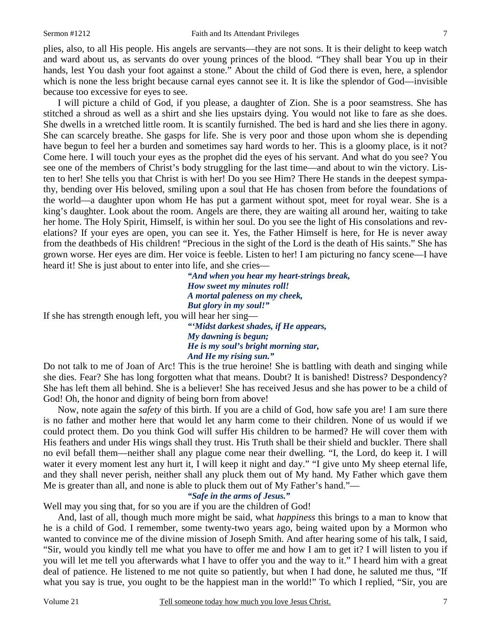plies, also, to all His people. His angels are servants—they are not sons. It is their delight to keep watch and ward about us, as servants do over young princes of the blood. "They shall bear You up in their hands, lest You dash your foot against a stone." About the child of God there is even, here, a splendor which is none the less bright because carnal eyes cannot see it. It is like the splendor of God—invisible because too excessive for eyes to see.

I will picture a child of God, if you please, a daughter of Zion. She is a poor seamstress. She has stitched a shroud as well as a shirt and she lies upstairs dying. You would not like to fare as she does. She dwells in a wretched little room. It is scantily furnished. The bed is hard and she lies there in agony. She can scarcely breathe. She gasps for life. She is very poor and those upon whom she is depending have begun to feel her a burden and sometimes say hard words to her. This is a gloomy place, is it not? Come here. I will touch your eyes as the prophet did the eyes of his servant. And what do you see? You see one of the members of Christ's body struggling for the last time—and about to win the victory. Listen to her! She tells you that Christ is with her! Do you see Him? There He stands in the deepest sympathy, bending over His beloved, smiling upon a soul that He has chosen from before the foundations of the world—a daughter upon whom He has put a garment without spot, meet for royal wear. She is a king's daughter. Look about the room. Angels are there, they are waiting all around her, waiting to take her home. The Holy Spirit, Himself, is within her soul. Do you see the light of His consolations and revelations? If your eyes are open, you can see it. Yes, the Father Himself is here, for He is never away from the deathbeds of His children! "Precious in the sight of the Lord is the death of His saints." She has grown worse. Her eyes are dim. Her voice is feeble. Listen to her! I am picturing no fancy scene—I have heard it! She is just about to enter into life, and she cries—

*"And when you hear my heart-strings break, How sweet my minutes roll! A mortal paleness on my cheek, But glory in my soul!"*  If she has strength enough left, you will hear her sing— *"'Midst darkest shades, if He appears, My dawning is begun; He is my soul's bright morning star, And He my rising sun."* 

Do not talk to me of Joan of Arc! This is the true heroine! She is battling with death and singing while she dies. Fear? She has long forgotten what that means. Doubt? It is banished! Distress? Despondency? She has left them all behind. She is a believer! She has received Jesus and she has power to be a child of God! Oh, the honor and dignity of being born from above!

Now, note again the *safety* of this birth. If you are a child of God, how safe you are! I am sure there is no father and mother here that would let any harm come to their children. None of us would if we could protect them. Do you think God will suffer His children to be harmed? He will cover them with His feathers and under His wings shall they trust. His Truth shall be their shield and buckler. There shall no evil befall them—neither shall any plague come near their dwelling. "I, the Lord, do keep it. I will water it every moment lest any hurt it, I will keep it night and day." "I give unto My sheep eternal life, and they shall never perish, neither shall any pluck them out of My hand. My Father which gave them Me is greater than all, and none is able to pluck them out of My Father's hand."—

#### *"Safe in the arms of Jesus."*

Well may you sing that, for so you are if you are the children of God!

And, last of all, though much more might be said, what *happiness* this brings to a man to know that he is a child of God. I remember, some twenty-two years ago, being waited upon by a Mormon who wanted to convince me of the divine mission of Joseph Smith. And after hearing some of his talk, I said, "Sir, would you kindly tell me what you have to offer me and how I am to get it? I will listen to you if you will let me tell you afterwards what I have to offer you and the way to it." I heard him with a great deal of patience. He listened to me not quite so patiently, but when I had done, he saluted me thus, "If what you say is true, you ought to be the happiest man in the world!" To which I replied, "Sir, you are